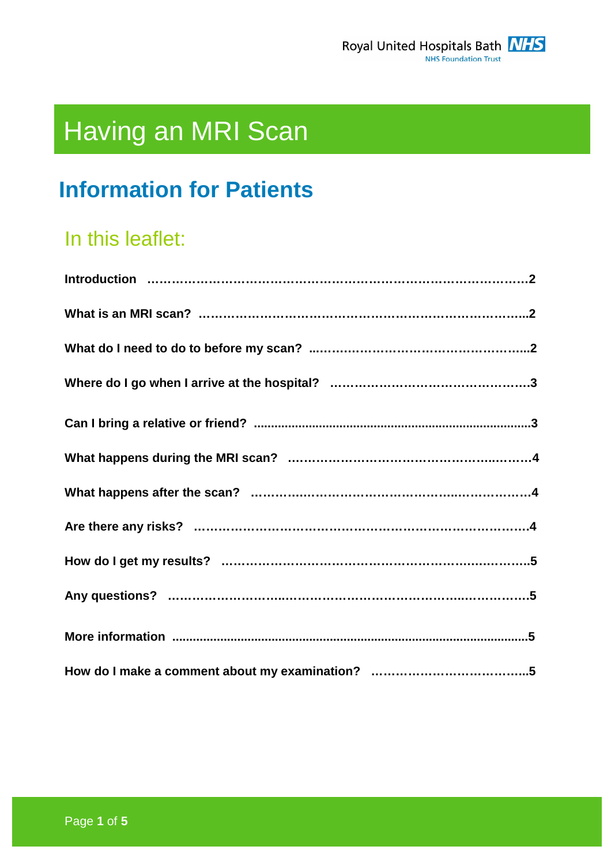

# Having an MRI Scan

# **Information for Patients**

# In this leaflet: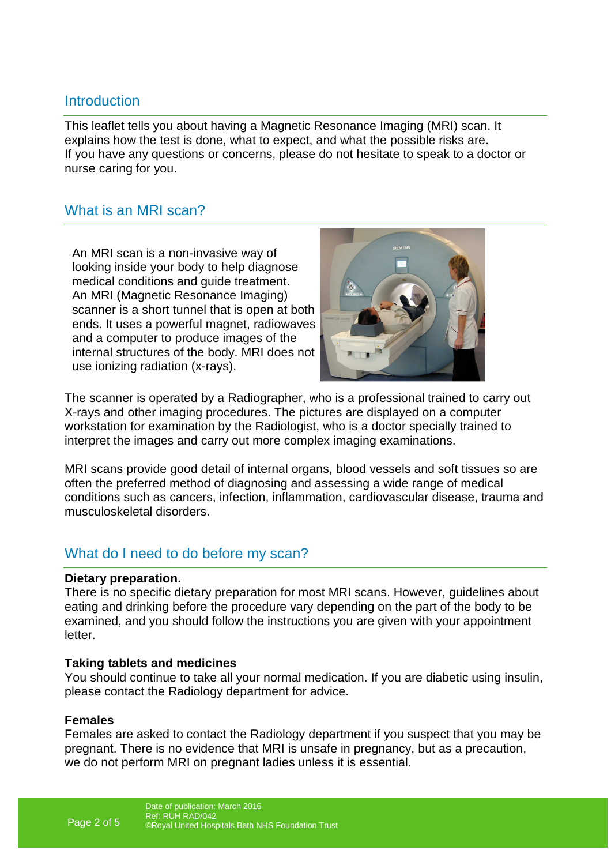### **Introduction**

This leaflet tells you about having a Magnetic Resonance Imaging (MRI) scan. It explains how the test is done, what to expect, and what the possible risks are. If you have any questions or concerns, please do not hesitate to speak to a doctor or nurse caring for you.

### What is an MRI scan?

An MRI scan is a non-invasive way of looking inside your body to help diagnose medical conditions and guide treatment. An MRI (Magnetic Resonance Imaging) scanner is a short tunnel that is open at both ends. It uses a powerful magnet, radiowaves and a computer to produce images of the internal structures of the body. MRI does not use ionizing radiation (x-rays).



The scanner is operated by a Radiographer, who is a professional trained to carry out X-rays and other imaging procedures. The pictures are displayed on a computer workstation for examination by the Radiologist, who is a doctor specially trained to interpret the images and carry out more complex imaging examinations.

MRI scans provide good detail of internal organs, blood vessels and soft tissues so are often the preferred method of diagnosing and assessing a wide range of medical conditions such as cancers, infection, inflammation, cardiovascular disease, trauma and musculoskeletal disorders.

# What do I need to do before my scan?

#### **Dietary preparation.**

There is no specific dietary preparation for most MRI scans. However, guidelines about eating and drinking before the procedure vary depending on the part of the body to be examined, and you should follow the instructions you are given with your appointment letter.

#### **Taking tablets and medicines**

You should continue to take all your normal medication. If you are diabetic using insulin, please contact the Radiology department for advice.

#### **Females**

Females are asked to contact the Radiology department if you suspect that you may be pregnant. There is no evidence that MRI is unsafe in pregnancy, but as a precaution, we do not perform MRI on pregnant ladies unless it is essential.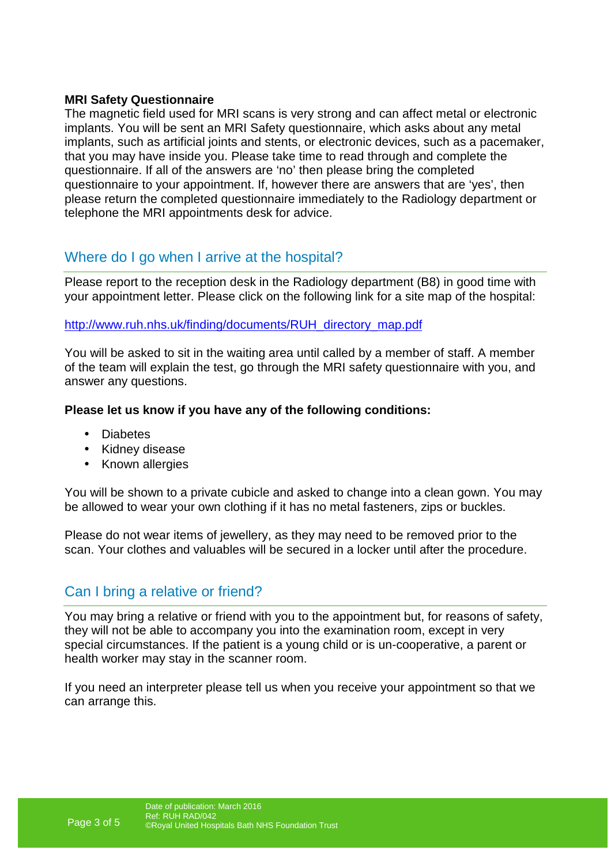#### **MRI Safety Questionnaire**

The magnetic field used for MRI scans is very strong and can affect metal or electronic implants. You will be sent an MRI Safety questionnaire, which asks about any metal implants, such as artificial joints and stents, or electronic devices, such as a pacemaker, that you may have inside you. Please take time to read through and complete the questionnaire. If all of the answers are 'no' then please bring the completed questionnaire to your appointment. If, however there are answers that are 'yes', then please return the completed questionnaire immediately to the Radiology department or telephone the MRI appointments desk for advice.

# Where do I go when I arrive at the hospital?

Please report to the reception desk in the Radiology department (B8) in good time with your appointment letter. Please click on the following link for a site map of the hospital:

#### http://www.ruh.nhs.uk/finding/documents/RUH\_directory\_map.pdf

You will be asked to sit in the waiting area until called by a member of staff. A member of the team will explain the test, go through the MRI safety questionnaire with you, and answer any questions.

#### **Please let us know if you have any of the following conditions:**

- Diabetes
- Kidney disease
- Known allergies

You will be shown to a private cubicle and asked to change into a clean gown. You may be allowed to wear your own clothing if it has no metal fasteners, zips or buckles.

Please do not wear items of jewellery, as they may need to be removed prior to the scan. Your clothes and valuables will be secured in a locker until after the procedure.

# Can I bring a relative or friend?

You may bring a relative or friend with you to the appointment but, for reasons of safety, they will not be able to accompany you into the examination room, except in very special circumstances. If the patient is a young child or is un-cooperative, a parent or health worker may stay in the scanner room.

If you need an interpreter please tell us when you receive your appointment so that we can arrange this.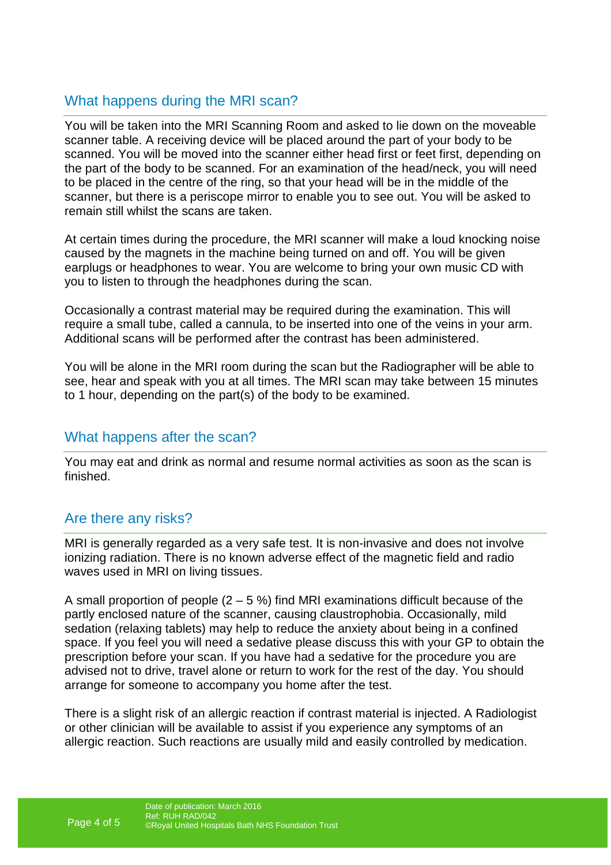# What happens during the MRI scan?

You will be taken into the MRI Scanning Room and asked to lie down on the moveable scanner table. A receiving device will be placed around the part of your body to be scanned. You will be moved into the scanner either head first or feet first, depending on the part of the body to be scanned. For an examination of the head/neck, you will need to be placed in the centre of the ring, so that your head will be in the middle of the scanner, but there is a periscope mirror to enable you to see out. You will be asked to remain still whilst the scans are taken.

At certain times during the procedure, the MRI scanner will make a loud knocking noise caused by the magnets in the machine being turned on and off. You will be given earplugs or headphones to wear. You are welcome to bring your own music CD with you to listen to through the headphones during the scan.

Occasionally a contrast material may be required during the examination. This will require a small tube, called a cannula, to be inserted into one of the veins in your arm. Additional scans will be performed after the contrast has been administered.

You will be alone in the MRI room during the scan but the Radiographer will be able to see, hear and speak with you at all times. The MRI scan may take between 15 minutes to 1 hour, depending on the part(s) of the body to be examined.

# What happens after the scan?

You may eat and drink as normal and resume normal activities as soon as the scan is finished.

# Are there any risks?

MRI is generally regarded as a very safe test. It is non-invasive and does not involve ionizing radiation. There is no known adverse effect of the magnetic field and radio waves used in MRI on living tissues.

A small proportion of people  $(2 - 5 \%)$  find MRI examinations difficult because of the partly enclosed nature of the scanner, causing claustrophobia. Occasionally, mild sedation (relaxing tablets) may help to reduce the anxiety about being in a confined space. If you feel you will need a sedative please discuss this with your GP to obtain the prescription before your scan. If you have had a sedative for the procedure you are advised not to drive, travel alone or return to work for the rest of the day. You should arrange for someone to accompany you home after the test.

There is a slight risk of an allergic reaction if contrast material is injected. A Radiologist or other clinician will be available to assist if you experience any symptoms of an allergic reaction. Such reactions are usually mild and easily controlled by medication.